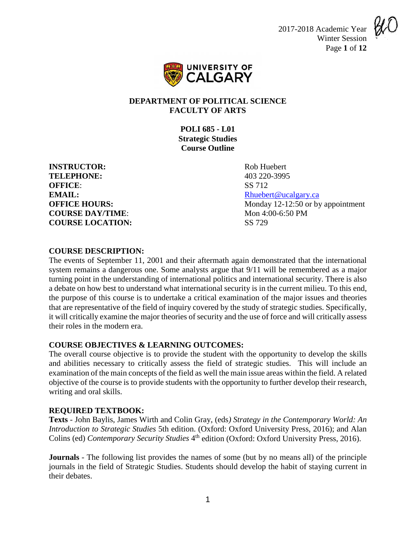2017-2018 Academic Year Winter Session Page **1** of **12**





### **DEPARTMENT OF POLITICAL SCIENCE FACULTY OF ARTS**

**POLI 685 - L01 Strategic Studies Course Outline**

**INSTRUCTOR:** Rob Huebert **TELEPHONE:** 403 220-3995 **OFFICE**: SS 712 **EMAIL:** Rhuebert @ucalgary.ca **COURSE DAY/TIME:** Mon 4:00-6:50 PM **COURSE LOCATION:** SS 729

**OFFICE HOURS:** Monday 12-12:50 or by appointment

**COURSE DESCRIPTION:**

The events of September 11, 2001 and their aftermath again demonstrated that the international system remains a dangerous one. Some analysts argue that 9/11 will be remembered as a major turning point in the understanding of international politics and international security. There is also a debate on how best to understand what international security is in the current milieu. To this end, the purpose of this course is to undertake a critical examination of the major issues and theories that are representative of the field of inquiry covered by the study of strategic studies. Specifically, it will critically examine the major theories of security and the use of force and will critically assess their roles in the modern era.

## **COURSE OBJECTIVES & LEARNING OUTCOMES:**

The overall course objective is to provide the student with the opportunity to develop the skills and abilities necessary to critically assess the field of strategic studies. This will include an examination of the main concepts of the field as well the main issue areas within the field. A related objective of the course is to provide students with the opportunity to further develop their research, writing and oral skills.

## **REQUIRED TEXTBOOK:**

**Texts** - John Baylis, James Wirth and Colin Gray, (eds*) Strategy in the Contemporary World: An Introduction to Strategic Studies* 5th edition. (Oxford: Oxford University Press, 2016); and Alan Colins (ed) *Contemporary Security Studies* 4<sup>th</sup> edition (Oxford: Oxford University Press, 2016).

**Journals** - The following list provides the names of some (but by no means all) of the principle journals in the field of Strategic Studies. Students should develop the habit of staying current in their debates.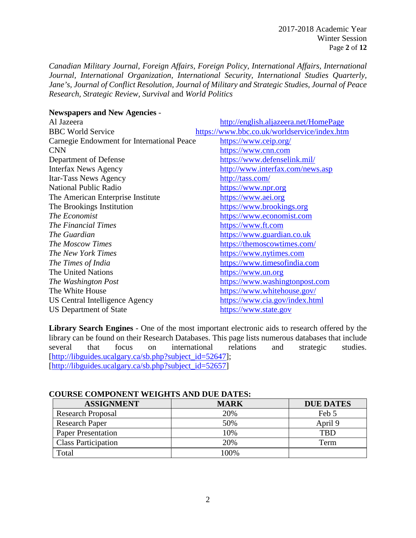*Canadian Military Journal, Foreign Affairs, Foreign Policy, International Affairs, International Journal, International Organization, International Security, International Studies Quarterly, Jane's, Journal of Conflict Resolution, Journal of Military and Strategic Studies, Journal of Peace Research, Strategic Review, Survival* and *World Politics*

| <b>Newspapers and New Agencies -</b>       |                                              |
|--------------------------------------------|----------------------------------------------|
| Al Jazeera                                 | http://english.aljazeera.net/HomePage        |
| <b>BBC World Service</b>                   | https://www.bbc.co.uk/worldservice/index.htm |
| Carnegie Endowment for International Peace | https://www.ceip.org/                        |
| <b>CNN</b>                                 | https://www.cnn.com                          |
| Department of Defense                      | https://www.defenselink.mil/                 |
| <b>Interfax News Agency</b>                | http://www.interfax.com/news.asp             |
| Itar-Tass News Agency                      | http://tass.com/                             |
| <b>National Public Radio</b>               | https://www.npr.org                          |
| The American Enterprise Institute          | https://www.aei.org                          |
| The Brookings Institution                  | https://www.brookings.org                    |
| The Economist                              | https://www.economist.com                    |
| <b>The Financial Times</b>                 | https://www.ft.com                           |
| The Guardian                               | <u>https://www.guardian.co.uk</u>            |
| The Moscow Times                           | https://themoscowtimes.com/                  |
| The New York Times                         | https://www.nytimes.com                      |
| The Times of India                         | https://www.timesofindia.com                 |
| The United Nations                         | https://www.un.org                           |
| The Washington Post                        | https://www.washingtonpost.com               |
| The White House                            | https://www.whitehouse.gov/                  |
| US Central Intelligence Agency             | https://www.cia.gov/index.html               |
| US Department of State                     | https://www.state.gov                        |

**Library Search Engines** - One of the most important electronic aids to research offered by the library can be found on their Research Databases. This page lists numerous databases that include several that focus on international relations and strategic studies. [\[http://libguides.ucalgary.ca/sb.php?subject\\_id=52647\]](http://libguides.ucalgary.ca/sb.php?subject_id=52647); [\[http://libguides.ucalgary.ca/sb.php?subject\\_id=52657\]](http://libguides.ucalgary.ca/sb.php?subject_id=52657)

| сосмые сови овевчи тексино дво рос ратно. |             |                  |
|-------------------------------------------|-------------|------------------|
| <b>ASSIGNMENT</b>                         | <b>MARK</b> | <b>DUE DATES</b> |
| <b>Research Proposal</b>                  | 20%         | Feb 5            |
| <b>Research Paper</b>                     | 50%         | April 9          |
| <b>Paper Presentation</b>                 | 10%         | <b>TBD</b>       |
| <b>Class Participation</b>                | 20%         | Term             |
| Total                                     | 100%        |                  |

## **COURSE COMPONENT WEIGHTS AND DUE DATES:**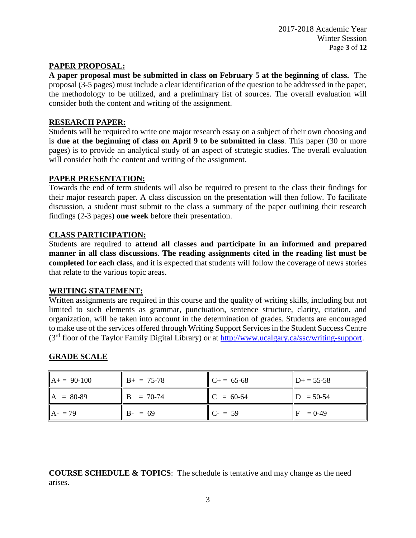#### **PAPER PROPOSAL:**

**A paper proposal must be submitted in class on February 5 at the beginning of class.** The proposal (3-5 pages) must include a clear identification of the question to be addressed in the paper, the methodology to be utilized, and a preliminary list of sources. The overall evaluation will consider both the content and writing of the assignment.

#### **RESEARCH PAPER:**

Students will be required to write one major research essay on a subject of their own choosing and is **due at the beginning of class on April 9 to be submitted in class**. This paper (30 or more pages) is to provide an analytical study of an aspect of strategic studies. The overall evaluation will consider both the content and writing of the assignment.

### **PAPER PRESENTATION:**

Towards the end of term students will also be required to present to the class their findings for their major research paper. A class discussion on the presentation will then follow. To facilitate discussion, a student must submit to the class a summary of the paper outlining their research findings (2-3 pages) **one week** before their presentation.

## **CLASS PARTICIPATION:**

Students are required to **attend all classes and participate in an informed and prepared manner in all class discussions**. **The reading assignments cited in the reading list must be completed for each class**, and it is expected that students will follow the coverage of news stories that relate to the various topic areas.

#### **WRITING STATEMENT:**

Written assignments are required in this course and the quality of writing skills, including but not limited to such elements as grammar, punctuation, sentence structure, clarity, citation, and organization, will be taken into account in the determination of grades. Students are encouraged to make use of the services offered through Writing Support Services in the Student Success Centre (3rd floor of the Taylor Family Digital Library) or at [http://www.ucalgary.ca/ssc/writing-support.](http://www.ucalgary.ca/ssc/writing-support)

## **GRADE SCALE**

| $A+= 90-100$ | $B+ = 75-78$    | $C+= 65-68$ | $D+ = 55-58$ |
|--------------|-----------------|-------------|--------------|
| $A = 80-89$  | $B = 70-74$     | $C = 60-64$ | $= 50 - 54$  |
| $A - 79$     | $B - \equiv 69$ | $C - 59$    | $= 0 - 49$   |

**COURSE SCHEDULE & TOPICS**: The schedule is tentative and may change as the need arises.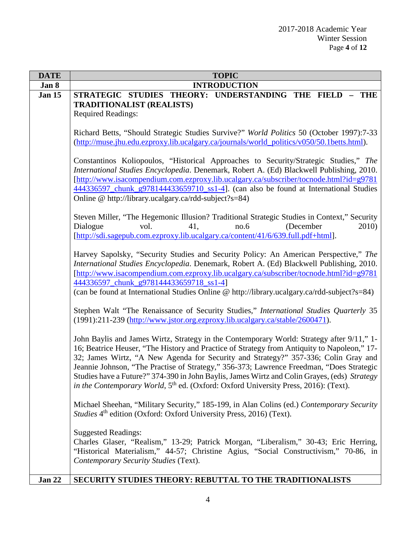| <b>DATE</b>   | <b>TOPIC</b>                                                                                                                                                                           |
|---------------|----------------------------------------------------------------------------------------------------------------------------------------------------------------------------------------|
| Jan 8         | <b>INTRODUCTION</b>                                                                                                                                                                    |
| <b>Jan 15</b> | STRATEGIC STUDIES THEORY: UNDERSTANDING THE FIELD<br><b>THE</b>                                                                                                                        |
|               | <b>TRADITIONALIST (REALISTS)</b>                                                                                                                                                       |
|               | <b>Required Readings:</b>                                                                                                                                                              |
|               |                                                                                                                                                                                        |
|               | Richard Betts, "Should Strategic Studies Survive?" World Politics 50 (October 1997):7-33<br>(http://muse.jhu.edu.ezproxy.lib.ucalgary.ca/journals/world_politics/v050/50.1betts.html). |
|               |                                                                                                                                                                                        |
|               | Constantinos Koliopoulos, "Historical Approaches to Security/Strategic Studies," The                                                                                                   |
|               | International Studies Encyclopedia. Denemark, Robert A. (Ed) Blackwell Publishing, 2010.                                                                                               |
|               | [http://www.isacompendium.com.ezproxy.lib.ucalgary.ca/subscriber/tocnode.html?id=g9781                                                                                                 |
|               | 444336597 chunk g978144433659710 ss1-4]. (can also be found at International Studies                                                                                                   |
|               | Online @ http://library.ucalgary.ca/rdd-subject?s=84)                                                                                                                                  |
|               |                                                                                                                                                                                        |
|               | Steven Miller, "The Hegemonic Illusion? Traditional Strategic Studies in Context," Security<br>2010)<br>vol.<br>no.6<br>(December<br>41.                                               |
|               | Dialogue<br>[http://sdi.sagepub.com.ezproxy.lib.ucalgary.ca/content/41/6/639.full.pdf+html].                                                                                           |
|               |                                                                                                                                                                                        |
|               | Harvey Sapolsky, "Security Studies and Security Policy: An American Perspective," The                                                                                                  |
|               | International Studies Encyclopedia. Denemark, Robert A. (Ed) Blackwell Publishing, 2010.                                                                                               |
|               | [http://www.isacompendium.com.ezproxy.lib.ucalgary.ca/subscriber/tocnode.html?id=g9781                                                                                                 |
|               | 444336597_chunk_g978144433659718_ss1-4]                                                                                                                                                |
|               | (can be found at International Studies Online @ http://library.ucalgary.ca/rdd-subject?s=84)                                                                                           |
|               |                                                                                                                                                                                        |
|               | Stephen Walt "The Renaissance of Security Studies," International Studies Quarterly 35<br>(1991):211-239 (http://www.jstor.org.ezproxy.lib.ucalgary.ca/stable/2600471).                |
|               |                                                                                                                                                                                        |
|               | John Baylis and James Wirtz, Strategy in the Contemporary World: Strategy after 9/11," 1-                                                                                              |
|               | 16; Beatrice Heuser, "The History and Practice of Strategy from Antiquity to Napoleon," 17-                                                                                            |
|               | 32; James Wirtz, "A New Agenda for Security and Strategy?" 357-336; Colin Gray and                                                                                                     |
|               | Jeannie Johnson, "The Practise of Strategy," 356-373; Lawrence Freedman, "Does Strategic                                                                                               |
|               | Studies have a Future?" 374-390 in John Baylis, James Wirtz and Colin Grayes, (eds) Strategy                                                                                           |
|               | in the Contemporary World, 5 <sup>th</sup> ed. (Oxford: Oxford University Press, 2016): (Text).                                                                                        |
|               | Michael Sheehan, "Military Security," 185-199, in Alan Colins (ed.) Contemporary Security                                                                                              |
|               | Studies 4 <sup>th</sup> edition (Oxford: Oxford University Press, 2016) (Text).                                                                                                        |
|               |                                                                                                                                                                                        |
|               | <b>Suggested Readings:</b>                                                                                                                                                             |
|               | Charles Glaser, "Realism," 13-29; Patrick Morgan, "Liberalism," 30-43; Eric Herring,                                                                                                   |
|               | "Historical Materialism," 44-57; Christine Agius, "Social Constructivism," 70-86, in                                                                                                   |
|               | Contemporary Security Studies (Text).                                                                                                                                                  |
|               |                                                                                                                                                                                        |
| Jan 22        | SECURITY STUDIES THEORY: REBUTTAL TO THE TRADITIONALISTS                                                                                                                               |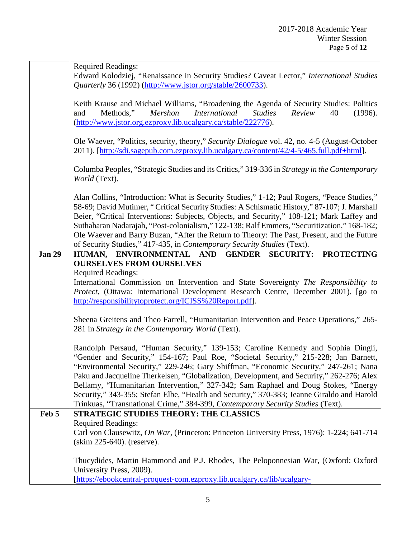|               | <b>Required Readings:</b>                                                                                                                                                                |
|---------------|------------------------------------------------------------------------------------------------------------------------------------------------------------------------------------------|
|               | Edward Kolodziej, "Renaissance in Security Studies? Caveat Lector," International Studies<br>Quarterly 36 (1992) (http://www.jstor.org/stable/2600733).                                  |
|               |                                                                                                                                                                                          |
|               | Keith Krause and Michael Williams, "Broadening the Agenda of Security Studies: Politics                                                                                                  |
|               | <i>International</i><br>Methods,"<br>Mershon<br>40<br>(1996).<br>and<br><i>Studies</i><br>Review<br>(http://www.jstor.org.ezproxy.lib.ucalgary.ca/stable/222776).                        |
|               |                                                                                                                                                                                          |
|               | Ole Waever, "Politics, security, theory," Security Dialogue vol. 42, no. 4-5 (August-October                                                                                             |
|               | 2011). [http://sdi.sagepub.com.ezproxy.lib.ucalgary.ca/content/42/4-5/465.full.pdf+html].                                                                                                |
|               | Columba Peoples, "Strategic Studies and its Critics," 319-336 in Strategy in the Contemporary                                                                                            |
|               | World (Text).                                                                                                                                                                            |
|               | Alan Collins, "Introduction: What is Security Studies," 1-12; Paul Rogers, "Peace Studies,"                                                                                              |
|               | 58-69; David Mutimer, "Critical Security Studies: A Schismatic History," 87-107; J. Marshall                                                                                             |
|               | Beier, "Critical Interventions: Subjects, Objects, and Security," 108-121; Mark Laffey and                                                                                               |
|               | Suthaharan Nadarajah, "Post-colonialism," 122-138; Ralf Emmers, "Securitization," 168-182;<br>Ole Waever and Barry Buzan, "After the Return to Theory: The Past, Present, and the Future |
|               | of Security Studies," 417-435, in Contemporary Security Studies (Text).                                                                                                                  |
| <b>Jan 29</b> | HUMAN, ENVIRONMENTAL AND GENDER SECURITY: PROTECTING                                                                                                                                     |
|               | <b>OURSELVES FROM OURSELVES</b>                                                                                                                                                          |
|               | <b>Required Readings:</b>                                                                                                                                                                |
|               | International Commission on Intervention and State Sovereignty The Responsibility to                                                                                                     |
|               | Protect, (Ottawa: International Development Research Centre, December 2001). [go to                                                                                                      |
|               | http://responsibilitytoprotect.org/ICISS%20Report.pdf].                                                                                                                                  |
|               | Sheena Greitens and Theo Farrell, "Humanitarian Intervention and Peace Operations," 265-                                                                                                 |
|               | 281 in Strategy in the Contemporary World (Text).                                                                                                                                        |
|               | Randolph Persaud, "Human Security," 139-153; Caroline Kennedy and Sophia Dingli,                                                                                                         |
|               | "Gender and Security," 154-167; Paul Roe, "Societal Security," 215-228; Jan Barnett,                                                                                                     |
|               | "Environmental Security," 229-246; Gary Shiffman, "Economic Security," 247-261; Nana                                                                                                     |
|               | Paku and Jacqueline Therkelsen, "Globalization, Development, and Security," 262-276; Alex                                                                                                |
|               | Bellamy, "Humanitarian Intervention," 327-342; Sam Raphael and Doug Stokes, "Energy                                                                                                      |
|               | Security," 343-355; Stefan Elbe, "Health and Security," 370-383; Jeanne Giraldo and Harold                                                                                               |
|               | Trinkuas, "Transnational Crime," 384-399, Contemporary Security Studies (Text).                                                                                                          |
| Feb 5         | <b>STRATEGIC STUDIES THEORY: THE CLASSICS</b><br><b>Required Readings:</b>                                                                                                               |
|               | Carl von Clausewitz, On War, (Princeton: Princeton University Press, 1976): 1-224; 641-714                                                                                               |
|               | (skim 225-640). (reserve).                                                                                                                                                               |
|               |                                                                                                                                                                                          |
|               | Thucydides, Martin Hammond and P.J. Rhodes, The Peloponnesian War, (Oxford: Oxford<br>University Press, 2009).                                                                           |
|               | [https://ebookcentral-proquest-com.ezproxy.lib.ucalgary.ca/lib/ucalgary-                                                                                                                 |
|               |                                                                                                                                                                                          |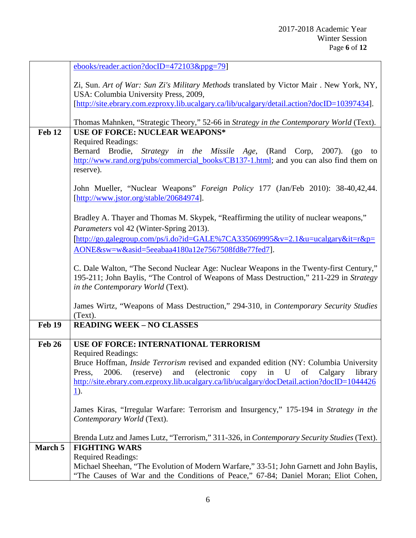|               | ebooks/reader.action?docID=472103&ppg=79]                                                                                        |
|---------------|----------------------------------------------------------------------------------------------------------------------------------|
|               | Zi, Sun. Art of War: Sun Zi's Military Methods translated by Victor Mair. New York, NY,                                          |
|               | USA: Columbia University Press, 2009,                                                                                            |
|               | [http://site.ebrary.com.ezproxy.lib.ucalgary.ca/lib/ucalgary/detail.action?docID=10397434].                                      |
|               | Thomas Mahnken, "Strategic Theory," 52-66 in Strategy in the Contemporary World (Text).                                          |
| Feb 12        | <b>USE OF FORCE: NUCLEAR WEAPONS*</b>                                                                                            |
|               | <b>Required Readings:</b><br>Brodie, Strategy in the Missile Age,<br>Bernard<br>(Rand Corp,<br>2007).                            |
|               | $(g_0)$<br>to<br>http://www.rand.org/pubs/commercial_books/CB137-1.html; and you can also find them on<br>reserve).              |
|               |                                                                                                                                  |
|               | John Mueller, "Nuclear Weapons" Foreign Policy 177 (Jan/Feb 2010): 38-40,42,44.<br>[http://www.jstor.org/stable/20684974].       |
|               |                                                                                                                                  |
|               | Bradley A. Thayer and Thomas M. Skypek, "Reaffirming the utility of nuclear weapons,"<br>Parameters vol 42 (Winter-Spring 2013). |
|               | $[\underline{\text{http://go.galegroup.com/ps/i.do?id=GALE%7CA335069995&v=2.1&u=ucalgary⁢=r&p=0.5cm}$                            |
|               | AONE&sw=w&asid=5eeabaa4180a12e7567508fd8e77fed7].                                                                                |
|               |                                                                                                                                  |
|               | C. Dale Walton, "The Second Nuclear Age: Nuclear Weapons in the Twenty-first Century,"                                           |
|               | 195-211; John Baylis, "The Control of Weapons of Mass Destruction," 211-229 in Strategy<br>in the Contemporary World (Text).     |
|               |                                                                                                                                  |
|               | James Wirtz, "Weapons of Mass Destruction," 294-310, in Contemporary Security Studies<br>(Text).                                 |
| <b>Feb 19</b> | <b>READING WEEK - NO CLASSES</b>                                                                                                 |
| <b>Feb 26</b> | USE OF FORCE: INTERNATIONAL TERRORISM                                                                                            |
|               | <b>Required Readings:</b>                                                                                                        |
|               | Bruce Hoffman, <i>Inside Terrorism</i> revised and expanded edition (NY: Columbia University                                     |
|               | 2006.<br>and (electronic<br>(reserve)<br>U<br>Calgary<br>library<br>Press,<br>copy<br>of<br>in                                   |
|               | http://site.ebrary.com.ezproxy.lib.ucalgary.ca/lib/ucalgary/docDetail.action?docID=1044426                                       |
|               | <u>1</u> ).                                                                                                                      |
|               | James Kiras, "Irregular Warfare: Terrorism and Insurgency," 175-194 in Strategy in the                                           |
|               | Contemporary World (Text).                                                                                                       |
|               |                                                                                                                                  |
| March 5       | Brenda Lutz and James Lutz, "Terrorism," 311-326, in Contemporary Security Studies (Text).<br><b>FIGHTING WARS</b>               |
|               |                                                                                                                                  |
|               | Michael Sheehan, "The Evolution of Modern Warfare," 33-51; John Garnett and John Baylis,                                         |
|               | <b>Required Readings:</b><br>"The Causes of War and the Conditions of Peace," 67-84; Daniel Moran; Eliot Cohen,                  |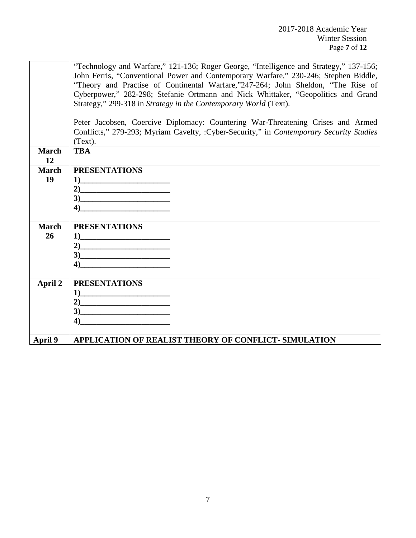|              | "Technology and Warfare," 121-136; Roger George, "Intelligence and Strategy," 137-156;                                                                                                                                                                                                                                                                                       |
|--------------|------------------------------------------------------------------------------------------------------------------------------------------------------------------------------------------------------------------------------------------------------------------------------------------------------------------------------------------------------------------------------|
|              | John Ferris, "Conventional Power and Contemporary Warfare," 230-246; Stephen Biddle,                                                                                                                                                                                                                                                                                         |
|              | "Theory and Practise of Continental Warfare,"247-264; John Sheldon, "The Rise of                                                                                                                                                                                                                                                                                             |
|              | Cyberpower," 282-298; Stefanie Ortmann and Nick Whittaker, "Geopolitics and Grand                                                                                                                                                                                                                                                                                            |
|              | Strategy," 299-318 in Strategy in the Contemporary World (Text).                                                                                                                                                                                                                                                                                                             |
|              |                                                                                                                                                                                                                                                                                                                                                                              |
|              | Peter Jacobsen, Coercive Diplomacy: Countering War-Threatening Crises and Armed                                                                                                                                                                                                                                                                                              |
|              | Conflicts," 279-293; Myriam Cavelty, :Cyber-Security," in Contemporary Security Studies                                                                                                                                                                                                                                                                                      |
|              | (Text).                                                                                                                                                                                                                                                                                                                                                                      |
| <b>March</b> | <b>TBA</b>                                                                                                                                                                                                                                                                                                                                                                   |
| 12           |                                                                                                                                                                                                                                                                                                                                                                              |
| <b>March</b> | <b>PRESENTATIONS</b>                                                                                                                                                                                                                                                                                                                                                         |
| 19           |                                                                                                                                                                                                                                                                                                                                                                              |
|              |                                                                                                                                                                                                                                                                                                                                                                              |
|              | $3)$ and $\overline{\phantom{a}3)$ and $\overline{\phantom{a}3)$ and $\overline{\phantom{a}3)$ and $\overline{\phantom{a}3)$ and $\overline{\phantom{a}3)$ and $\overline{\phantom{a}3)$ and $\overline{\phantom{a}3)$ and $\overline{\phantom{a}3)$ and $\overline{\phantom{a}3)$ and $\overline{\phantom{a}3)$ and $\overline{\phantom{a}3)$ and $\overline{\phantom{a}3)$ |
|              | $\overline{4}$                                                                                                                                                                                                                                                                                                                                                               |
|              |                                                                                                                                                                                                                                                                                                                                                                              |
| <b>March</b> | <b>PRESENTATIONS</b>                                                                                                                                                                                                                                                                                                                                                         |
| 26           |                                                                                                                                                                                                                                                                                                                                                                              |
|              |                                                                                                                                                                                                                                                                                                                                                                              |
|              |                                                                                                                                                                                                                                                                                                                                                                              |
|              | $\overline{4}$                                                                                                                                                                                                                                                                                                                                                               |
|              |                                                                                                                                                                                                                                                                                                                                                                              |
| April 2      | <b>PRESENTATIONS</b>                                                                                                                                                                                                                                                                                                                                                         |
|              | 1)                                                                                                                                                                                                                                                                                                                                                                           |
|              |                                                                                                                                                                                                                                                                                                                                                                              |
|              | $\bullet$                                                                                                                                                                                                                                                                                                                                                                    |
|              | 4)                                                                                                                                                                                                                                                                                                                                                                           |
|              |                                                                                                                                                                                                                                                                                                                                                                              |
| April 9      | <b>APPLICATION OF REALIST THEORY OF CONFLICT- SIMULATION</b>                                                                                                                                                                                                                                                                                                                 |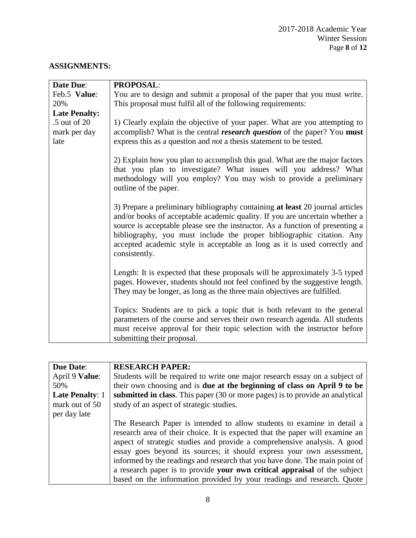# **ASSIGNMENTS:**

| <b>Date Due:</b>     | <b>PROPOSAL:</b>                                                                                                                                                                                                                                                                                                                                                                                                     |
|----------------------|----------------------------------------------------------------------------------------------------------------------------------------------------------------------------------------------------------------------------------------------------------------------------------------------------------------------------------------------------------------------------------------------------------------------|
| Feb.5 Value:         | You are to design and submit a proposal of the paper that you must write.                                                                                                                                                                                                                                                                                                                                            |
| 20%                  | This proposal must fulfil all of the following requirements:                                                                                                                                                                                                                                                                                                                                                         |
| <b>Late Penalty:</b> |                                                                                                                                                                                                                                                                                                                                                                                                                      |
| .5 out of 20         | 1) Clearly explain the objective of your paper. What are you attempting to                                                                                                                                                                                                                                                                                                                                           |
| mark per day         | accomplish? What is the central <i>research question</i> of the paper? You must                                                                                                                                                                                                                                                                                                                                      |
| late                 | express this as a question and <i>not</i> a thesis statement to be tested.                                                                                                                                                                                                                                                                                                                                           |
|                      |                                                                                                                                                                                                                                                                                                                                                                                                                      |
|                      | 2) Explain how you plan to accomplish this goal. What are the major factors<br>that you plan to investigate? What issues will you address? What<br>methodology will you employ? You may wish to provide a preliminary<br>outline of the paper.                                                                                                                                                                       |
|                      | 3) Prepare a preliminary bibliography containing at least 20 journal articles<br>and/or books of acceptable academic quality. If you are uncertain whether a<br>source is acceptable please see the instructor. As a function of presenting a<br>bibliography, you must include the proper bibliographic citation. Any<br>accepted academic style is acceptable as long as it is used correctly and<br>consistently. |
|                      | Length: It is expected that these proposals will be approximately 3-5 typed<br>pages. However, students should not feel confined by the suggestive length.<br>They may be longer, as long as the three main objectives are fulfilled.                                                                                                                                                                                |
|                      | Topics: Students are to pick a topic that is both relevant to the general                                                                                                                                                                                                                                                                                                                                            |
|                      | parameters of the course and serves their own research agenda. All students                                                                                                                                                                                                                                                                                                                                          |
|                      | must receive approval for their topic selection with the instructor before                                                                                                                                                                                                                                                                                                                                           |
|                      | submitting their proposal.                                                                                                                                                                                                                                                                                                                                                                                           |

| <b>Due Date:</b>       | <b>RESEARCH PAPER:</b>                                                          |
|------------------------|---------------------------------------------------------------------------------|
| April 9 Value:         | Students will be required to write one major research essay on a subject of     |
| 50%                    | their own choosing and is <b>due at the beginning of class on April 9 to be</b> |
| <b>Late Penalty: 1</b> | submitted in class. This paper (30 or more pages) is to provide an analytical   |
| mark out of 50         | study of an aspect of strategic studies.                                        |
| per day late           |                                                                                 |
|                        | The Research Paper is intended to allow students to examine in detail a         |
|                        | research area of their choice. It is expected that the paper will examine an    |
|                        | aspect of strategic studies and provide a comprehensive analysis. A good        |
|                        | essay goes beyond its sources; it should express your own assessment,           |
|                        | informed by the readings and research that you have done. The main point of     |
|                        | a research paper is to provide your own critical appraisal of the subject       |
|                        | based on the information provided by your readings and research. Quote          |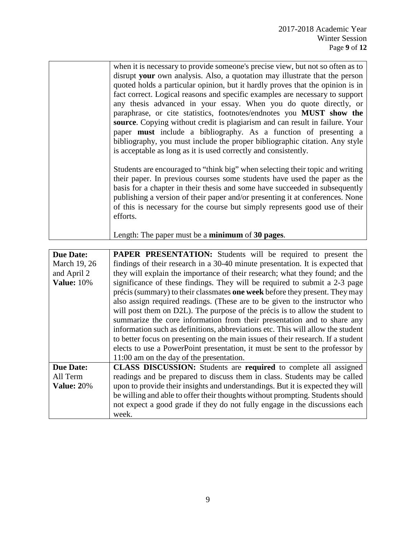| when it is necessary to provide someone's precise view, but not so often as to |
|--------------------------------------------------------------------------------|
| disrupt your own analysis. Also, a quotation may illustrate that the person    |
| quoted holds a particular opinion, but it hardly proves that the opinion is in |
| fact correct. Logical reasons and specific examples are necessary to support   |
| any thesis advanced in your essay. When you do quote directly, or              |
| paraphrase, or cite statistics, footnotes/endnotes you MUST show the           |
| source. Copying without credit is plagiarism and can result in failure. Your   |
| paper must include a bibliography. As a function of presenting a               |
| bibliography, you must include the proper bibliographic citation. Any style    |
| is acceptable as long as it is used correctly and consistently.                |
|                                                                                |
| Students are encouraged to "think big" when selecting their topic and writing  |
| their paper. In previous courses some students have used the paper as the      |
| basis for a chapter in their thesis and some have succeeded in subsequently    |
| publishing a version of their paper and/or presenting it at conferences. None  |
| of this is necessary for the course but simply represents good use of their    |
| efforts.                                                                       |
|                                                                                |
| Length: The paper must be a <b>minimum</b> of 30 pages.                        |
|                                                                                |

| <b>Due Date:</b>  | <b>PAPER PRESENTATION:</b> Students will be required to present the              |
|-------------------|----------------------------------------------------------------------------------|
| March 19, 26      | findings of their research in a 30-40 minute presentation. It is expected that   |
| and April 2       | they will explain the importance of their research; what they found; and the     |
| <b>Value:</b> 10% | significance of these findings. They will be required to submit a 2-3 page       |
|                   | précis (summary) to their classmates one week before they present. They may      |
|                   | also assign required readings. (These are to be given to the instructor who      |
|                   | will post them on D2L). The purpose of the précis is to allow the student to     |
|                   | summarize the core information from their presentation and to share any          |
|                   | information such as definitions, abbreviations etc. This will allow the student  |
|                   | to better focus on presenting on the main issues of their research. If a student |
|                   | elects to use a PowerPoint presentation, it must be sent to the professor by     |
|                   | 11:00 am on the day of the presentation.                                         |
| <b>Due Date:</b>  | CLASS DISCUSSION: Students are required to complete all assigned                 |
| All Term          | readings and be prepared to discuss them in class. Students may be called        |
| <b>Value: 20%</b> | upon to provide their insights and understandings. But it is expected they will  |
|                   | be willing and able to offer their thoughts without prompting. Students should   |
|                   | not expect a good grade if they do not fully engage in the discussions each      |
|                   | week.                                                                            |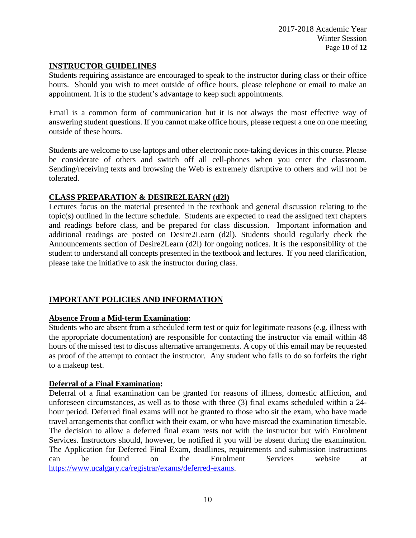#### **INSTRUCTOR GUIDELINES**

Students requiring assistance are encouraged to speak to the instructor during class or their office hours. Should you wish to meet outside of office hours, please telephone or email to make an appointment. It is to the student's advantage to keep such appointments.

Email is a common form of communication but it is not always the most effective way of answering student questions. If you cannot make office hours, please request a one on one meeting outside of these hours.

Students are welcome to use laptops and other electronic note-taking devices in this course. Please be considerate of others and switch off all cell-phones when you enter the classroom. Sending/receiving texts and browsing the Web is extremely disruptive to others and will not be tolerated.

## **CLASS PREPARATION & DESIRE2LEARN (d2l)**

Lectures focus on the material presented in the textbook and general discussion relating to the topic(s) outlined in the lecture schedule. Students are expected to read the assigned text chapters and readings before class, and be prepared for class discussion. Important information and additional readings are posted on Desire2Learn (d2l). Students should regularly check the Announcements section of Desire2Learn (d2l) for ongoing notices. It is the responsibility of the student to understand all concepts presented in the textbook and lectures. If you need clarification, please take the initiative to ask the instructor during class.

## **IMPORTANT POLICIES AND INFORMATION**

## **Absence From a Mid-term Examination**:

Students who are absent from a scheduled term test or quiz for legitimate reasons (e.g. illness with the appropriate documentation) are responsible for contacting the instructor via email within 48 hours of the missed test to discuss alternative arrangements. A copy of this email may be requested as proof of the attempt to contact the instructor. Any student who fails to do so forfeits the right to a makeup test.

#### **Deferral of a Final Examination:**

Deferral of a final examination can be granted for reasons of illness, domestic affliction, and unforeseen circumstances, as well as to those with three (3) final exams scheduled within a 24 hour period. Deferred final exams will not be granted to those who sit the exam, who have made travel arrangements that conflict with their exam, or who have misread the examination timetable. The decision to allow a deferred final exam rests not with the instructor but with Enrolment Services. Instructors should, however, be notified if you will be absent during the examination. The Application for Deferred Final Exam, deadlines, requirements and submission instructions can be found on the Enrolment Services website at [https://www.ucalgary.ca/registrar/exams/deferred-exams.](https://www.ucalgary.ca/registrar/exams/deferred-exams)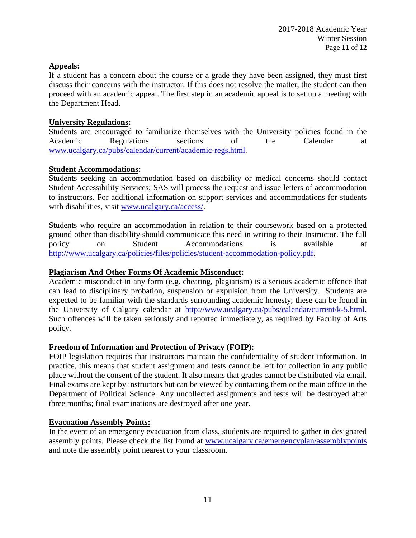### **Appeals:**

If a student has a concern about the course or a grade they have been assigned, they must first discuss their concerns with the instructor. If this does not resolve the matter, the student can then proceed with an academic appeal. The first step in an academic appeal is to set up a meeting with the Department Head.

### **University Regulations:**

Students are encouraged to familiarize themselves with the University policies found in the Academic Regulations sections of the Calendar at [www.ucalgary.ca/pubs/calendar/current/academic-regs.html.](http://www.ucalgary.ca/pubs/calendar/current/academic-regs.html)

### **Student Accommodations:**

Students seeking an accommodation based on disability or medical concerns should contact Student Accessibility Services; SAS will process the request and issue letters of accommodation to instructors. For additional information on support services and accommodations for students with disabilities, visit [www.ucalgary.ca/access/.](http://www.ucalgary.ca/access/)

Students who require an accommodation in relation to their coursework based on a protected ground other than disability should communicate this need in writing to their Instructor. The full policy on Student Accommodations is available at [http://www.ucalgary.ca/policies/files/policies/student-accommodation-policy.pdf.](http://www.ucalgary.ca/policies/files/policies/student-accommodation-policy.pdf)

### **Plagiarism And Other Forms Of Academic Misconduct:**

Academic misconduct in any form (e.g. cheating, plagiarism) is a serious academic offence that can lead to disciplinary probation, suspension or expulsion from the University. Students are expected to be familiar with the standards surrounding academic honesty; these can be found in the University of Calgary calendar at [http://www.ucalgary.ca/pubs/calendar/current/k-5.html.](http://www.ucalgary.ca/pubs/calendar/current/k-5.html) Such offences will be taken seriously and reported immediately, as required by Faculty of Arts policy.

#### **Freedom of Information and Protection of Privacy (FOIP):**

FOIP legislation requires that instructors maintain the confidentiality of student information. In practice, this means that student assignment and tests cannot be left for collection in any public place without the consent of the student. It also means that grades cannot be distributed via email. Final exams are kept by instructors but can be viewed by contacting them or the main office in the Department of Political Science. Any uncollected assignments and tests will be destroyed after three months; final examinations are destroyed after one year.

## **Evacuation Assembly Points:**

In the event of an emergency evacuation from class, students are required to gather in designated assembly points. Please check the list found at [www.ucalgary.ca/emergencyplan/assemblypoints](http://www.ucalgary.ca/emergencyplan/assemblypoints) and note the assembly point nearest to your classroom.